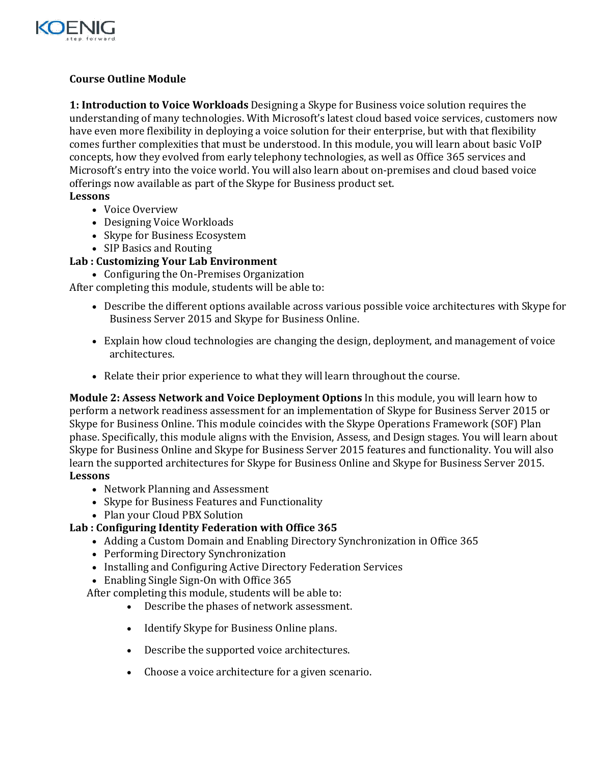

## **Course Outline Module**

**1: Introduction to Voice Workloads** Designing a Skype for Business voice solution requires the understanding of many technologies. With Microsoft's latest cloud based voice services, customers now have even more flexibility in deploying a voice solution for their enterprise, but with that flexibility comes further complexities that must be understood. In this module, you will learn about basic VoIP concepts, how they evolved from early telephony technologies, as well as Office 365 services and Microsoft's entry into the voice world. You will also learn about on-premises and cloud based voice offerings now available as part of the Skype for Business product set.

#### **Lessons**

- Voice Overview
- Designing Voice Workloads
- Skype for Business Ecosystem
- SIP Basics and Routing

#### **Lab : Customizing Your Lab Environment**

• Configuring the On-Premises Organization

After completing this module, students will be able to:

- Describe the different options available across various possible voice architectures with Skype for Business Server 2015 and Skype for Business Online.
- Explain how cloud technologies are changing the design, deployment, and management of voice architectures.
- Relate their prior experience to what they will learn throughout the course.

**Module 2: Assess Network and Voice Deployment Options** In this module, you will learn how to perform a network readiness assessment for an implementation of Skype for Business Server 2015 or Skype for Business Online. This module coincides with the Skype Operations Framework (SOF) Plan phase. Specifically, this module aligns with the Envision, Assess, and Design stages. You will learn about Skype for Business Online and Skype for Business Server 2015 features and functionality. You will also learn the supported architectures for Skype for Business Online and Skype for Business Server 2015. **Lessons**

- Network Planning and Assessment
- Skype for Business Features and Functionality
- Plan your Cloud PBX Solution

#### **Lab : Configuring Identity Federation with Office 365**

- Adding a Custom Domain and Enabling Directory Synchronization in Office 365
- Performing Directory Synchronization
- Installing and Configuring Active Directory Federation Services
- Enabling Single Sign-On with Office 365

After completing this module, students will be able to:

- Describe the phases of network assessment.
- Identify Skype for Business Online plans.
- Describe the supported voice architectures.
- Choose a voice architecture for a given scenario.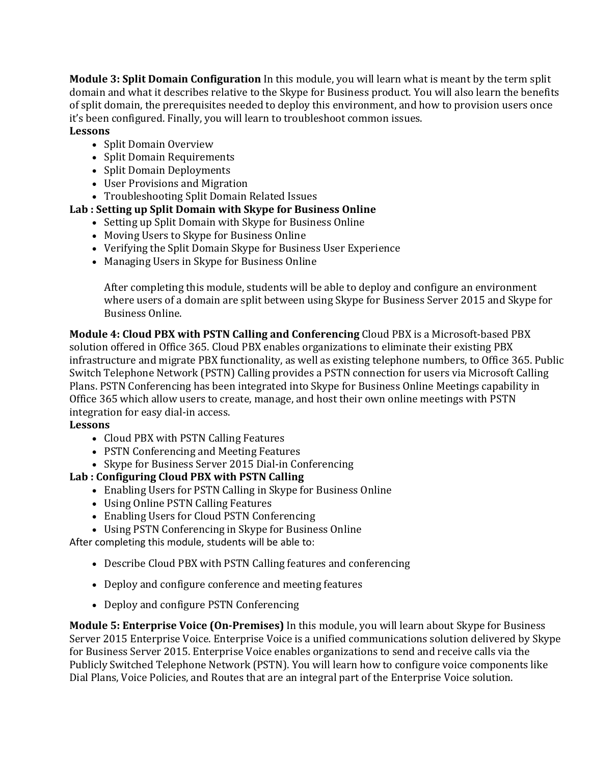**Module 3: Split Domain Configuration** In this module, you will learn what is meant by the term split domain and what it describes relative to the Skype for Business product. You will also learn the benefits of split domain, the prerequisites needed to deploy this environment, and how to provision users once it's been configured. Finally, you will learn to troubleshoot common issues. **Lessons**

- Split Domain Overview
- Split Domain Requirements
- Split Domain Deployments
- User Provisions and Migration
- Troubleshooting Split Domain Related Issues

## **Lab : Setting up Split Domain with Skype for Business Online**

- Setting up Split Domain with Skype for Business Online
- Moving Users to Skype for Business Online
- Verifying the Split Domain Skype for Business User Experience
- Managing Users in Skype for Business Online

After completing this module, students will be able to deploy and configure an environment where users of a domain are split between using Skype for Business Server 2015 and Skype for Business Online.

**Module 4: Cloud PBX with PSTN Calling and Conferencing** Cloud PBX is a Microsoft-based PBX solution offered in Office 365. Cloud PBX enables organizations to eliminate their existing PBX infrastructure and migrate PBX functionality, as well as existing telephone numbers, to Office 365. Public Switch Telephone Network (PSTN) Calling provides a PSTN connection for users via Microsoft Calling Plans. PSTN Conferencing has been integrated into Skype for Business Online Meetings capability in Office 365 which allow users to create, manage, and host their own online meetings with PSTN integration for easy dial-in access.

## **Lessons**

- Cloud PBX with PSTN Calling Features
- PSTN Conferencing and Meeting Features
- Skype for Business Server 2015 Dial-in Conferencing

## **Lab : Configuring Cloud PBX with PSTN Calling**

- Enabling Users for PSTN Calling in Skype for Business Online
- Using Online PSTN Calling Features
- Enabling Users for Cloud PSTN Conferencing
- Using PSTN Conferencing in Skype for Business Online

After completing this module, students will be able to:

- Describe Cloud PBX with PSTN Calling features and conferencing
- Deploy and configure conference and meeting features
- Deploy and configure PSTN Conferencing

**Module 5: Enterprise Voice (On-Premises)** In this module, you will learn about Skype for Business Server 2015 Enterprise Voice. Enterprise Voice is a unified communications solution delivered by Skype for Business Server 2015. Enterprise Voice enables organizations to send and receive calls via the Publicly Switched Telephone Network (PSTN). You will learn how to configure voice components like Dial Plans, Voice Policies, and Routes that are an integral part of the Enterprise Voice solution.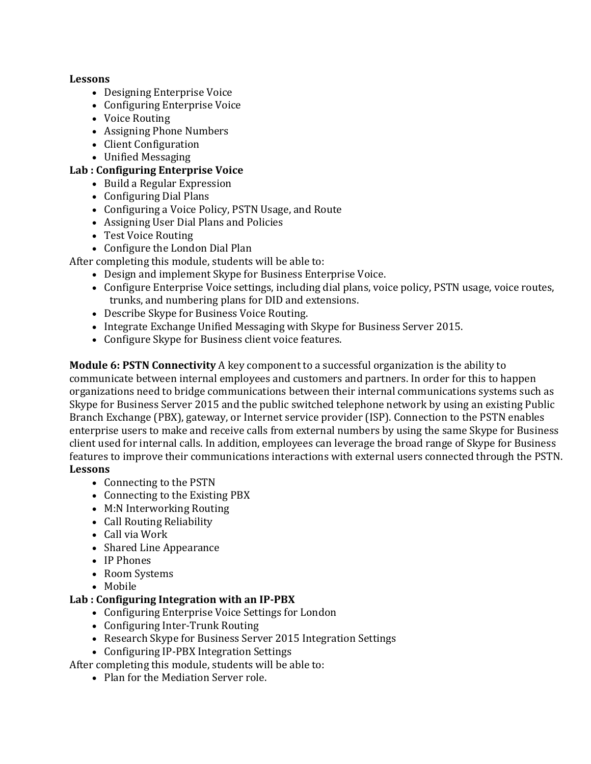#### **Lessons**

- Designing Enterprise Voice
- Configuring Enterprise Voice
- Voice Routing
- Assigning Phone Numbers
- Client Configuration
- Unified Messaging

#### **Lab : Configuring Enterprise Voice**

- Build a Regular Expression
- Configuring Dial Plans
- Configuring a Voice Policy, PSTN Usage, and Route
- Assigning User Dial Plans and Policies
- Test Voice Routing
- Configure the London Dial Plan

After completing this module, students will be able to:

- Design and implement Skype for Business Enterprise Voice.
- Configure Enterprise Voice settings, including dial plans, voice policy, PSTN usage, voice routes, trunks, and numbering plans for DID and extensions.
- Describe Skype for Business Voice Routing.
- Integrate Exchange Unified Messaging with Skype for Business Server 2015.
- Configure Skype for Business client voice features.

**Module 6: PSTN Connectivity** A key component to a successful organization is the ability to communicate between internal employees and customers and partners. In order for this to happen organizations need to bridge communications between their internal communications systems such as Skype for Business Server 2015 and the public switched telephone network by using an existing Public Branch Exchange (PBX), gateway, or Internet service provider (ISP). Connection to the PSTN enables enterprise users to make and receive calls from external numbers by using the same Skype for Business client used for internal calls. In addition, employees can leverage the broad range of Skype for Business features to improve their communications interactions with external users connected through the PSTN. **Lessons**

- Connecting to the PSTN
- Connecting to the Existing PBX
- M:N Interworking Routing
- Call Routing Reliability
- Call via Work
- Shared Line Appearance
- IP Phones
- Room Systems
- Mobile

## **Lab : Configuring Integration with an IP-PBX**

- Configuring Enterprise Voice Settings for London
- Configuring Inter-Trunk Routing
- Research Skype for Business Server 2015 Integration Settings
- Configuring IP-PBX Integration Settings
- After completing this module, students will be able to:
	- Plan for the Mediation Server role.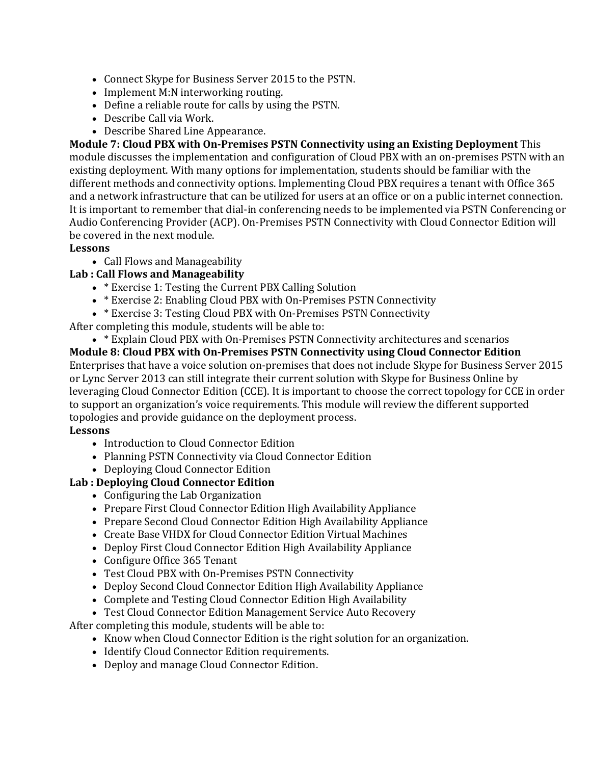- Connect Skype for Business Server 2015 to the PSTN.
- Implement M:N interworking routing.
- Define a reliable route for calls by using the PSTN.
- Describe Call via Work.
- Describe Shared Line Appearance.

**Module 7: Cloud PBX with On-Premises PSTN Connectivity using an Existing Deployment** This module discusses the implementation and configuration of Cloud PBX with an on-premises PSTN with an existing deployment. With many options for implementation, students should be familiar with the different methods and connectivity options. Implementing Cloud PBX requires a tenant with Office 365 and a network infrastructure that can be utilized for users at an office or on a public internet connection. It is important to remember that dial-in conferencing needs to be implemented via PSTN Conferencing or Audio Conferencing Provider (ACP). On-Premises PSTN Connectivity with Cloud Connector Edition will be covered in the next module.

## **Lessons**

• Call Flows and Manageability

# **Lab : Call Flows and Manageability**

- \* Exercise 1: Testing the Current PBX Calling Solution
- \* Exercise 2: Enabling Cloud PBX with On-Premises PSTN Connectivity
- \* Exercise 3: Testing Cloud PBX with On-Premises PSTN Connectivity

After completing this module, students will be able to:

• \* Explain Cloud PBX with On-Premises PSTN Connectivity architectures and scenarios

**Module 8: Cloud PBX with On-Premises PSTN Connectivity using Cloud Connector Edition** Enterprises that have a voice solution on-premises that does not include Skype for Business Server 2015 or Lync Server 2013 can still integrate their current solution with Skype for Business Online by leveraging Cloud Connector Edition (CCE). It is important to choose the correct topology for CCE in order to support an organization's voice requirements. This module will review the different supported topologies and provide guidance on the deployment process.

## **Lessons**

- Introduction to Cloud Connector Edition
- Planning PSTN Connectivity via Cloud Connector Edition
- Deploying Cloud Connector Edition

# **Lab : Deploying Cloud Connector Edition**

- Configuring the Lab Organization
- Prepare First Cloud Connector Edition High Availability Appliance
- Prepare Second Cloud Connector Edition High Availability Appliance
- Create Base VHDX for Cloud Connector Edition Virtual Machines
- Deploy First Cloud Connector Edition High Availability Appliance
- Configure Office 365 Tenant
- Test Cloud PBX with On-Premises PSTN Connectivity
- Deploy Second Cloud Connector Edition High Availability Appliance
- Complete and Testing Cloud Connector Edition High Availability
- Test Cloud Connector Edition Management Service Auto Recovery

After completing this module, students will be able to:

- Know when Cloud Connector Edition is the right solution for an organization.
- Identify Cloud Connector Edition requirements.
- Deploy and manage Cloud Connector Edition.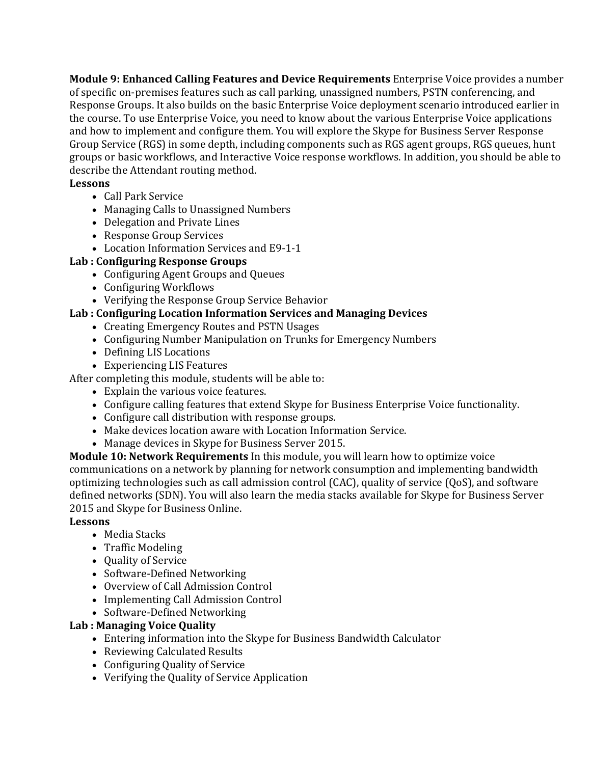**Module 9: Enhanced Calling Features and Device Requirements** Enterprise Voice provides a number of specific on-premises features such as call parking, unassigned numbers, PSTN conferencing, and Response Groups. It also builds on the basic Enterprise Voice deployment scenario introduced earlier in the course. To use Enterprise Voice, you need to know about the various Enterprise Voice applications and how to implement and configure them. You will explore the Skype for Business Server Response Group Service (RGS) in some depth, including components such as RGS agent groups, RGS queues, hunt groups or basic workflows, and Interactive Voice response workflows. In addition, you should be able to describe the Attendant routing method.

#### **Lessons**

- Call Park Service
- Managing Calls to Unassigned Numbers
- Delegation and Private Lines
- Response Group Services
- Location Information Services and E9-1-1

#### **Lab : Configuring Response Groups**

- Configuring Agent Groups and Queues
- Configuring Workflows
- Verifying the Response Group Service Behavior

## **Lab : Configuring Location Information Services and Managing Devices**

- Creating Emergency Routes and PSTN Usages
- Configuring Number Manipulation on Trunks for Emergency Numbers
- Defining LIS Locations
- Experiencing LIS Features

After completing this module, students will be able to:

- Explain the various voice features.
	- Configure calling features that extend Skype for Business Enterprise Voice functionality.
	- Configure call distribution with response groups.
	- Make devices location aware with Location Information Service.
	- Manage devices in Skype for Business Server 2015.

**Module 10: Network Requirements** In this module, you will learn how to optimize voice communications on a network by planning for network consumption and implementing bandwidth optimizing technologies such as call admission control (CAC), quality of service (QoS), and software defined networks (SDN). You will also learn the media stacks available for Skype for Business Server 2015 and Skype for Business Online.

#### **Lessons**

- Media Stacks
- Traffic Modeling
- Quality of Service
- Software-Defined Networking
- Overview of Call Admission Control
- Implementing Call Admission Control
- Software-Defined Networking

## **Lab : Managing Voice Quality**

- Entering information into the Skype for Business Bandwidth Calculator
- Reviewing Calculated Results
- Configuring Quality of Service
- Verifying the Quality of Service Application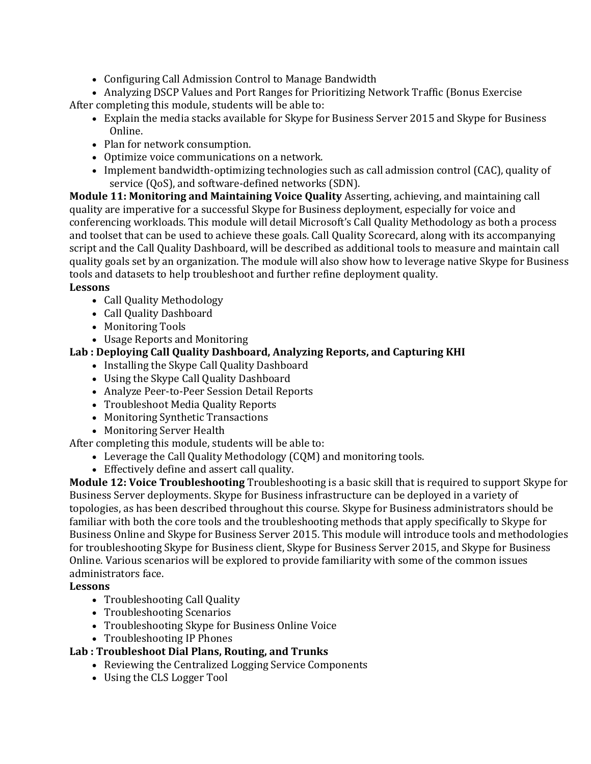• Configuring Call Admission Control to Manage Bandwidth

• Analyzing DSCP Values and Port Ranges for Prioritizing Network Traffic (Bonus Exercise After completing this module, students will be able to:

- Explain the media stacks available for Skype for Business Server 2015 and Skype for Business Online.
- Plan for network consumption.
- Optimize voice communications on a network.
- Implement bandwidth-optimizing technologies such as call admission control (CAC), quality of service (QoS), and software-defined networks (SDN).

**Module 11: Monitoring and Maintaining Voice Quality** Asserting, achieving, and maintaining call quality are imperative for a successful Skype for Business deployment, especially for voice and conferencing workloads. This module will detail Microsoft's Call Quality Methodology as both a process and toolset that can be used to achieve these goals. Call Quality Scorecard, along with its accompanying script and the Call Quality Dashboard, will be described as additional tools to measure and maintain call quality goals set by an organization. The module will also show how to leverage native Skype for Business tools and datasets to help troubleshoot and further refine deployment quality.

## **Lessons**

- Call Quality Methodology
- Call Quality Dashboard
- Monitoring Tools
- Usage Reports and Monitoring

# **Lab : Deploying Call Quality Dashboard, Analyzing Reports, and Capturing KHI**

- Installing the Skype Call Quality Dashboard
- Using the Skype Call Quality Dashboard
- Analyze Peer-to-Peer Session Detail Reports
- Troubleshoot Media Quality Reports
- Monitoring Synthetic Transactions
- Monitoring Server Health

# After completing this module, students will be able to:

- Leverage the Call Quality Methodology (CQM) and monitoring tools.
- Effectively define and assert call quality.

**Module 12: Voice Troubleshooting** Troubleshooting is a basic skill that is required to support Skype for Business Server deployments. Skype for Business infrastructure can be deployed in a variety of topologies, as has been described throughout this course. Skype for Business administrators should be familiar with both the core tools and the troubleshooting methods that apply specifically to Skype for Business Online and Skype for Business Server 2015. This module will introduce tools and methodologies for troubleshooting Skype for Business client, Skype for Business Server 2015, and Skype for Business Online. Various scenarios will be explored to provide familiarity with some of the common issues administrators face.

## **Lessons**

- Troubleshooting Call Quality
- Troubleshooting Scenarios
- Troubleshooting Skype for Business Online Voice
- Troubleshooting IP Phones

# **Lab : Troubleshoot Dial Plans, Routing, and Trunks**

- Reviewing the Centralized Logging Service Components
- Using the CLS Logger Tool